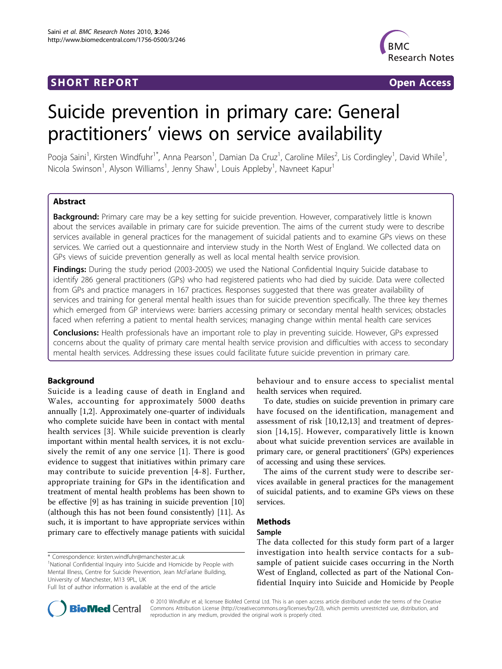# **SHORT REPORT SHORT CONSUMING THE SHORT CONSUMING THE SHORT CONSUMING THE SHORT CONSUMING THE SHORT CONSUMING THE SHORT CONSUMING THE SHORT CONSUMING THE SHORT CONSUMING THE SHORT CONSUMING THE SHORT CONSUMING THE SHORT**



# Suicide prevention in primary care: General practitioners' views on service availability

Pooja Saini<sup>1</sup>, Kirsten Windfuhr<sup>1\*</sup>, Anna Pearson<sup>1</sup>, Damian Da Cruz<sup>1</sup>, Caroline Miles<sup>2</sup>, Lis Cordingley<sup>1</sup>, David While<sup>1</sup> , Nicola Swinson<sup>1</sup>, Alyson Williams<sup>1</sup>, Jenny Shaw<sup>1</sup>, Louis Appleby<sup>1</sup>, Navneet Kapur<sup>1</sup>

# Abstract

Background: Primary care may be a key setting for suicide prevention. However, comparatively little is known about the services available in primary care for suicide prevention. The aims of the current study were to describe services available in general practices for the management of suicidal patients and to examine GPs views on these services. We carried out a questionnaire and interview study in the North West of England. We collected data on GPs views of suicide prevention generally as well as local mental health service provision.

**Findings:** During the study period (2003-2005) we used the National Confidential Inquiry Suicide database to identify 286 general practitioners (GPs) who had registered patients who had died by suicide. Data were collected from GPs and practice managers in 167 practices. Responses suggested that there was greater availability of services and training for general mental health issues than for suicide prevention specifically. The three key themes which emerged from GP interviews were: barriers accessing primary or secondary mental health services; obstacles faced when referring a patient to mental health services; managing change within mental health care services

Conclusions: Health professionals have an important role to play in preventing suicide. However, GPs expressed concerns about the quality of primary care mental health service provision and difficulties with access to secondary mental health services. Addressing these issues could facilitate future suicide prevention in primary care.

# Background

Suicide is a leading cause of death in England and Wales, accounting for approximately 5000 deaths annually [[1,2\]](#page-4-0). Approximately one-quarter of individuals who complete suicide have been in contact with mental health services [[3\]](#page-4-0). While suicide prevention is clearly important within mental health services, it is not exclusively the remit of any one service [[1](#page-4-0)]. There is good evidence to suggest that initiatives within primary care may contribute to suicide prevention [[4-8](#page-4-0)]. Further, appropriate training for GPs in the identification and treatment of mental health problems has been shown to be effective [[9](#page-4-0)] as has training in suicide prevention [[10](#page-4-0)] (although this has not been found consistently) [\[11\]](#page-4-0). As such, it is important to have appropriate services within primary care to effectively manage patients with suicidal

\* Correspondence: [kirsten.windfuhr@manchester.ac.uk](mailto:kirsten.windfuhr@manchester.ac.uk)

<sup>1</sup>National Confidential Inquiry into Suicide and Homicide by People with Mental Illness, Centre for Suicide Prevention, Jean McFarlane Building, University of Manchester, M13 9PL, UK

behaviour and to ensure access to specialist mental health services when required.

To date, studies on suicide prevention in primary care have focused on the identification, management and assessment of risk [\[10,](#page-4-0)[12,13\]](#page-5-0) and treatment of depression [[14,15\]](#page-5-0). However, comparatively little is known about what suicide prevention services are available in primary care, or general practitioners' (GPs) experiences of accessing and using these services.

The aims of the current study were to describe services available in general practices for the management of suicidal patients, and to examine GPs views on these services.

# Methods

#### Sample

The data collected for this study form part of a larger investigation into health service contacts for a subsample of patient suicide cases occurring in the North West of England, collected as part of the National Confidential Inquiry into Suicide and Homicide by People



© 2010 Windfuhr et al; licensee BioMed Central Ltd. This is an open access article distributed under the terms of the Creative Commons Attribution License [\(http://creativecommons.org/licenses/by/2.0](http://creativecommons.org/licenses/by/2.0)), which permits unrestricted use, distribution, and reproduction in any medium, provided the original work is properly cited.

Full list of author information is available at the end of the article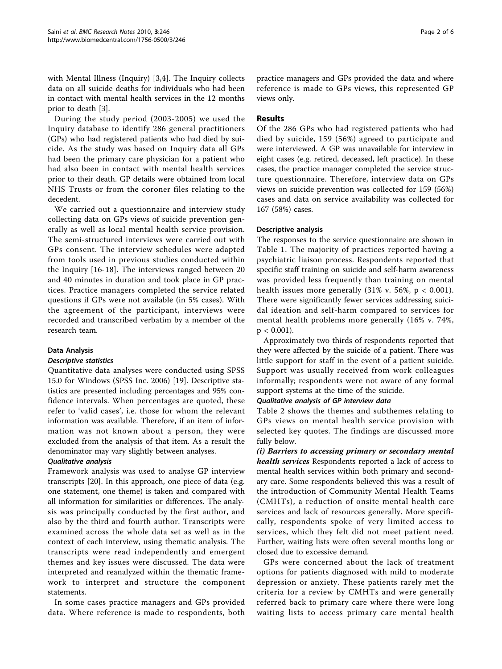with Mental Illness (Inquiry) [[3,4\]](#page-4-0). The Inquiry collects data on all suicide deaths for individuals who had been in contact with mental health services in the 12 months prior to death [\[3](#page-4-0)].

During the study period (2003-2005) we used the Inquiry database to identify 286 general practitioners (GPs) who had registered patients who had died by suicide. As the study was based on Inquiry data all GPs had been the primary care physician for a patient who had also been in contact with mental health services prior to their death. GP details were obtained from local NHS Trusts or from the coroner files relating to the decedent.

We carried out a questionnaire and interview study collecting data on GPs views of suicide prevention generally as well as local mental health service provision. The semi-structured interviews were carried out with GPs consent. The interview schedules were adapted from tools used in previous studies conducted within the Inquiry [[16](#page-5-0)-[18\]](#page-5-0). The interviews ranged between 20 and 40 minutes in duration and took place in GP practices. Practice managers completed the service related questions if GPs were not available (in 5% cases). With the agreement of the participant, interviews were recorded and transcribed verbatim by a member of the research team.

# Data Analysis

#### Descriptive statistics

Quantitative data analyses were conducted using SPSS 15.0 for Windows (SPSS Inc. 2006) [\[19](#page-5-0)]. Descriptive statistics are presented including percentages and 95% confidence intervals. When percentages are quoted, these refer to 'valid cases', i.e. those for whom the relevant information was available. Therefore, if an item of information was not known about a person, they were excluded from the analysis of that item. As a result the denominator may vary slightly between analyses.

# Qualitative analysis

Framework analysis was used to analyse GP interview transcripts [[20\]](#page-5-0). In this approach, one piece of data (e.g. one statement, one theme) is taken and compared with all information for similarities or differences. The analysis was principally conducted by the first author, and also by the third and fourth author. Transcripts were examined across the whole data set as well as in the context of each interview, using thematic analysis. The transcripts were read independently and emergent themes and key issues were discussed. The data were interpreted and reanalyzed within the thematic framework to interpret and structure the component statements.

In some cases practice managers and GPs provided data. Where reference is made to respondents, both

practice managers and GPs provided the data and where reference is made to GPs views, this represented GP views only.

### Results

Of the 286 GPs who had registered patients who had died by suicide, 159 (56%) agreed to participate and were interviewed. A GP was unavailable for interview in eight cases (e.g. retired, deceased, left practice). In these cases, the practice manager completed the service structure questionnaire. Therefore, interview data on GPs views on suicide prevention was collected for 159 (56%) cases and data on service availability was collected for 167 (58%) cases.

#### Descriptive analysis

The responses to the service questionnaire are shown in Table [1](#page-2-0). The majority of practices reported having a psychiatric liaison process. Respondents reported that specific staff training on suicide and self-harm awareness was provided less frequently than training on mental health issues more generally  $(31\% \text{ v. } 56\%, \text{ p} < 0.001)$ . There were significantly fewer services addressing suicidal ideation and self-harm compared to services for mental health problems more generally (16% v. 74%,  $p < 0.001$ ).

Approximately two thirds of respondents reported that they were affected by the suicide of a patient. There was little support for staff in the event of a patient suicide. Support was usually received from work colleagues informally; respondents were not aware of any formal support systems at the time of the suicide.

#### Qualitative analysis of GP interview data

Table [2](#page-2-0) shows the themes and subthemes relating to GPs views on mental health service provision with selected key quotes. The findings are discussed more fully below.

(i) Barriers to accessing primary or secondary mental health services Respondents reported a lack of access to mental health services within both primary and secondary care. Some respondents believed this was a result of the introduction of Community Mental Health Teams (CMHTs), a reduction of onsite mental health care services and lack of resources generally. More specifically, respondents spoke of very limited access to services, which they felt did not meet patient need. Further, waiting lists were often several months long or closed due to excessive demand.

GPs were concerned about the lack of treatment options for patients diagnosed with mild to moderate depression or anxiety. These patients rarely met the criteria for a review by CMHTs and were generally referred back to primary care where there were long waiting lists to access primary care mental health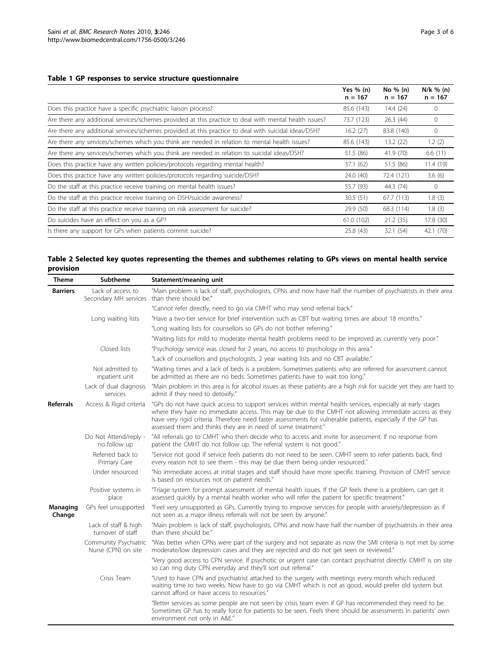#### <span id="page-2-0"></span>Table 1 GP responses to service structure questionnaire

|                                                                                                        | Yes % (n)<br>$n = 167$ | No $% (n)$<br>$n = 167$ | $N/k$ % (n)<br>$n = 167$ |
|--------------------------------------------------------------------------------------------------------|------------------------|-------------------------|--------------------------|
| Does this practice have a specific psychiatric liaison process?                                        | 85.6 (143)             | 14.4(24)                | 0                        |
| Are there any additional services/schemes provided at this practice to deal with mental health issues? | 73.7 (123)             | 26.3(44)                | $\Omega$                 |
| Are there any additional services/schemes provided at this practice to deal with suicidal ideas/DSH?   |                        | 83.8 (140)              | $\Omega$                 |
| Are there any services/schemes which you think are needed in relation to mental health issues?         |                        | 13.2 (22)               | 1.2(2)                   |
| Are there any services/schemes which you think are needed in relation to suicidal ideas/DSH?           |                        | 41.9 (70)               | 6.6(11)                  |
| Does this practice have any written policies/protocols regarding mental health?                        |                        | 51.5 (86)               | 11.4(19)                 |
| Does this practice have any written policies/protocols regarding suicide/DSH?                          |                        | 72.4 (121)              | 3.6(6)                   |
| Do the staff at this practice receive training on mental health issues?                                |                        | 44.3 (74)               | $\mathbf 0$              |
| Do the staff at this practice receive training on DSH/suicide awareness?                               |                        | 67.7 (113)              | 1.8(3)                   |
| Do the staff at this practice receive training on risk assessment for suicide?                         |                        | 68.3 (114)              | 1.8(3)                   |
| Do suicides have an effect on you as a GP?                                                             |                        | 21.2(35)                | 17.8 (30)                |
| Is there any support for GPs when patients commit suicide?                                             | 25.8 (43)              | 32.1 (54)               | 42.1 (70)                |

# Table 2 Selected key quotes representing the themes and subthemes relating to GPs views on mental health service provision

| <b>Theme</b>       | <b>Subtheme</b>                              | Statement/meaning unit                                                                                                                                                                                                                                                                                                                                                                                  |  |
|--------------------|----------------------------------------------|---------------------------------------------------------------------------------------------------------------------------------------------------------------------------------------------------------------------------------------------------------------------------------------------------------------------------------------------------------------------------------------------------------|--|
| <b>Barriers</b>    | Lack of access to                            | "Main problem is lack of staff, psychologists, CPNs and now have half the number of psychiatrists in their area<br>Secondary MH services than there should be."                                                                                                                                                                                                                                         |  |
|                    |                                              | "Cannot refer directly, need to go via CMHT who may send referral back."                                                                                                                                                                                                                                                                                                                                |  |
|                    | Long waiting lists                           | "Have a two-tier service for brief intervention such as CBT but waiting times are about 18 months."                                                                                                                                                                                                                                                                                                     |  |
|                    |                                              | "Long waiting lists for counsellors so GPs do not bother referring."                                                                                                                                                                                                                                                                                                                                    |  |
|                    |                                              | "Waiting lists for mild to moderate mental health problems need to be improved as currently very poor."                                                                                                                                                                                                                                                                                                 |  |
|                    | Closed lists                                 | "Psychology service was closed for 2 years, no access to psychology in this area."                                                                                                                                                                                                                                                                                                                      |  |
|                    |                                              | "Lack of counsellors and psychologists, 2 year waiting lists and no CBT available."                                                                                                                                                                                                                                                                                                                     |  |
|                    | Not admitted to<br>inpatient unit            | "Waiting times and a lack of beds is a problem. Sometimes patients who are referred for assessment cannot<br>be admitted as there are no beds. Sometimes patients have to wait too long."                                                                                                                                                                                                               |  |
|                    | Lack of dual diagnosis<br>services           | "Main problem in this area is for alcohol issues as these patients are a high risk for suicide yet they are hard to<br>admit if they need to detoxify."                                                                                                                                                                                                                                                 |  |
| <b>Referrals</b>   | Access & Rigid criteria                      | "GPs do not have quick access to support services within mental health services, especially at early stages<br>where they have no immediate access. This may be due to the CMHT not allowing immediate access as they<br>have very rigid criteria. Therefore need faster assessments for vulnerable patients, especially if the GP has<br>assessed them and thinks they are in need of some treatment." |  |
|                    | Do Not Attend/reply -<br>no follow up        | "All referrals go to CMHT who then decide who to access and invite for assessment. If no response from<br>patient the CMHT do not follow up. The referral system is not good."                                                                                                                                                                                                                          |  |
|                    | Referred back to<br>Primary Care             | "Service not good if service feels patients do not need to be seen. CMHT seem to refer patients back, find<br>every reason not to see them - this may be due them being under resourced."                                                                                                                                                                                                               |  |
|                    | Under resourced                              | "No immediate access at initial stages and staff should have more specific training. Provision of CMHT service<br>is based on resources not on patient needs."                                                                                                                                                                                                                                          |  |
|                    | Positive systems in<br>place                 | "Triage system for prompt assessment of mental health issues. If the GP feels there is a problem, can get it<br>assessed quickly by a mental health worker who will refer the patient for specific treatment."                                                                                                                                                                                          |  |
| Managing<br>Change | GPs feel unsupported                         | "Feel very unsupported as GPs. Currently trying to improve services for people with anxiety/depression as if<br>not seen as a major illness referrals will not be seen by anyone."                                                                                                                                                                                                                      |  |
|                    | Lack of staff & high<br>turnover of staff    | "Main problem is lack of staff, psychologists, CPNs and now have half the number of psychiatrists in their area<br>than there should be."                                                                                                                                                                                                                                                               |  |
|                    | Community Psychiatric<br>Nurse (CPN) on site | "Was better when CPNs were part of the surgery and not separate as now the SMI criteria is not met by some<br>moderate/low depression cases and they are rejected and do not get seen or reviewed."                                                                                                                                                                                                     |  |
|                    |                                              | "Very good access to CPN service. If psychotic or urgent case can contact psychiatrist directly. CMHT is on site<br>so can ring duty CPN everyday and they'll sort out referral."                                                                                                                                                                                                                       |  |
|                    | Crisis Team                                  | "Used to have CPN and psychiatrist attached to the surgery with meetings every month which reduced<br>waiting time to two weeks. Now have to go via CMHT which is not as good, would prefer old system but<br>cannot afford or have access to resources."                                                                                                                                               |  |
|                    |                                              | "Better services as some people are not seen by crisis team even if GP has recommended they need to be.<br>Sometimes GP has to really force for patients to be seen. Feels there should be assessments in patients' own<br>environment not only in A&E."                                                                                                                                                |  |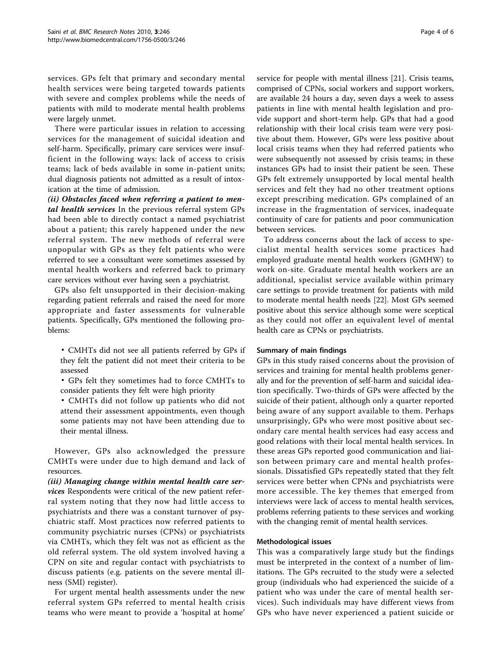services. GPs felt that primary and secondary mental health services were being targeted towards patients with severe and complex problems while the needs of patients with mild to moderate mental health problems were largely unmet.

There were particular issues in relation to accessing services for the management of suicidal ideation and self-harm. Specifically, primary care services were insufficient in the following ways: lack of access to crisis teams; lack of beds available in some in-patient units; dual diagnosis patients not admitted as a result of intoxication at the time of admission.

(ii) Obstacles faced when referring a patient to mental health services In the previous referral system GPs had been able to directly contact a named psychiatrist about a patient; this rarely happened under the new referral system. The new methods of referral were unpopular with GPs as they felt patients who were referred to see a consultant were sometimes assessed by mental health workers and referred back to primary care services without ever having seen a psychiatrist.

GPs also felt unsupported in their decision-making regarding patient referrals and raised the need for more appropriate and faster assessments for vulnerable patients. Specifically, GPs mentioned the following problems:

▪ CMHTs did not see all patients referred by GPs if they felt the patient did not meet their criteria to be assessed

▪ GPs felt they sometimes had to force CMHTs to consider patients they felt were high priority

▪ CMHTs did not follow up patients who did not attend their assessment appointments, even though some patients may not have been attending due to their mental illness.

However, GPs also acknowledged the pressure CMHTs were under due to high demand and lack of resources.

(iii) Managing change within mental health care services Respondents were critical of the new patient referral system noting that they now had little access to psychiatrists and there was a constant turnover of psychiatric staff. Most practices now referred patients to community psychiatric nurses (CPNs) or psychiatrists via CMHTs, which they felt was not as efficient as the old referral system. The old system involved having a CPN on site and regular contact with psychiatrists to discuss patients (e.g. patients on the severe mental illness (SMI) register).

For urgent mental health assessments under the new referral system GPs referred to mental health crisis teams who were meant to provide a 'hospital at home'

service for people with mental illness [[21\]](#page-5-0). Crisis teams, comprised of CPNs, social workers and support workers, are available 24 hours a day, seven days a week to assess patients in line with mental health legislation and provide support and short-term help. GPs that had a good relationship with their local crisis team were very positive about them. However, GPs were less positive about local crisis teams when they had referred patients who were subsequently not assessed by crisis teams; in these instances GPs had to insist their patient be seen. These GPs felt extremely unsupported by local mental health services and felt they had no other treatment options except prescribing medication. GPs complained of an increase in the fragmentation of services, inadequate continuity of care for patients and poor communication between services.

To address concerns about the lack of access to specialist mental health services some practices had employed graduate mental health workers (GMHW) to work on-site. Graduate mental health workers are an additional, specialist service available within primary care settings to provide treatment for patients with mild to moderate mental health needs [\[22](#page-5-0)]. Most GPs seemed positive about this service although some were sceptical as they could not offer an equivalent level of mental health care as CPNs or psychiatrists.

#### Summary of main findings

GPs in this study raised concerns about the provision of services and training for mental health problems generally and for the prevention of self-harm and suicidal ideation specifically. Two-thirds of GPs were affected by the suicide of their patient, although only a quarter reported being aware of any support available to them. Perhaps unsurprisingly, GPs who were most positive about secondary care mental health services had easy access and good relations with their local mental health services. In these areas GPs reported good communication and liaison between primary care and mental health professionals. Dissatisfied GPs repeatedly stated that they felt services were better when CPNs and psychiatrists were more accessible. The key themes that emerged from interviews were lack of access to mental health services, problems referring patients to these services and working with the changing remit of mental health services.

#### Methodological issues

This was a comparatively large study but the findings must be interpreted in the context of a number of limitations. The GPs recruited to the study were a selected group (individuals who had experienced the suicide of a patient who was under the care of mental health services). Such individuals may have different views from GPs who have never experienced a patient suicide or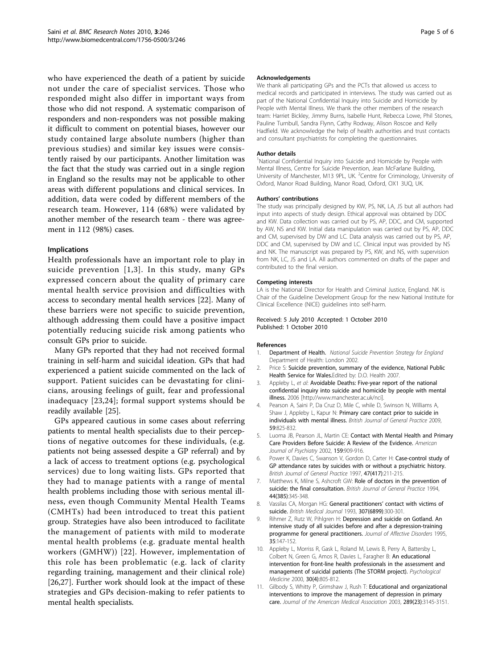<span id="page-4-0"></span>who have experienced the death of a patient by suicide not under the care of specialist services. Those who responded might also differ in important ways from those who did not respond. A systematic comparison of responders and non-responders was not possible making it difficult to comment on potential biases, however our study contained large absolute numbers (higher than previous studies) and similar key issues were consistently raised by our participants. Another limitation was the fact that the study was carried out in a single region in England so the results may not be applicable to other areas with different populations and clinical services. In addition, data were coded by different members of the research team. However, 114 (68%) were validated by another member of the research team - there was agreement in 112 (98%) cases.

#### Implications

Health professionals have an important role to play in suicide prevention [1,3]. In this study, many GPs expressed concern about the quality of primary care mental health service provision and difficulties with access to secondary mental health services [[22\]](#page-5-0). Many of these barriers were not specific to suicide prevention, although addressing them could have a positive impact potentially reducing suicide risk among patients who consult GPs prior to suicide.

Many GPs reported that they had not received formal training in self-harm and suicidal ideation. GPs that had experienced a patient suicide commented on the lack of support. Patient suicides can be devastating for clinicians, arousing feelings of guilt, fear and professional inadequacy [[23,24](#page-5-0)]; formal support systems should be readily available [\[25\]](#page-5-0).

GPs appeared cautious in some cases about referring patients to mental health specialists due to their perceptions of negative outcomes for these individuals, (e.g. patients not being assessed despite a GP referral) and by a lack of access to treatment options (e.g. psychological services) due to long waiting lists. GPs reported that they had to manage patients with a range of mental health problems including those with serious mental illness, even though Community Mental Health Teams (CMHTs) had been introduced to treat this patient group. Strategies have also been introduced to facilitate the management of patients with mild to moderate mental health problems (e.g. graduate mental health workers (GMHW)) [\[22\]](#page-5-0). However, implementation of this role has been problematic (e.g. lack of clarity regarding training, management and their clinical role) [[26,27\]](#page-5-0). Further work should look at the impact of these strategies and GPs decision-making to refer patients to mental health specialists.

#### Acknowledgements

We thank all participating GPs and the PCTs that allowed us access to medical records and participated in interviews. The study was carried out as part of the National Confidential Inquiry into Suicide and Homicide by People with Mental Illness. We thank the other members of the research team: Harriet Bickley, Jimmy Burns, Isabelle Hunt, Rebecca Lowe, Phil Stones, Pauline Turnbull, Sandra Flynn, Cathy Rodway, Alison Roscoe and Kelly Hadfield. We acknowledge the help of health authorities and trust contacts and consultant psychiatrists for completing the questionnaires.

#### Author details

<sup>1</sup>National Confidential Inquiry into Suicide and Homicide by People with Mental Illness, Centre for Suicide Prevention, Jean McFarlane Building, University of Manchester, M13 9PL, UK. <sup>2</sup>Centre for Criminology, University of Oxford, Manor Road Building, Manor Road, Oxford, OX1 3UQ, UK.

#### Authors' contributions

The study was principally designed by KW, PS, NK, LA, JS but all authors had input into aspects of study design. Ethical approval was obtained by DDC and KW. Data collection was carried out by PS, AP, DDC, and CM, supported by AW, NS and KW. Initial data manipulation was carried out by PS, AP, DDC and CM, supervised by DW and LC. Data analysis was carried out by PS, AP, DDC and CM, supervised by DW and LC. Clinical input was provided by NS and NK. The manuscript was prepared by PS, KW, and NS, with supervision from NK, LC, JS and LA. All authors commented on drafts of the paper and contributed to the final version.

#### Competing interests

LA is the National Director for Health and Criminal Justice, England. NK is Chair of the Guideline Development Group for the new National Institute for Clinical Excellence (NICE) guidelines into self-harm.

#### Received: 5 July 2010 Accepted: 1 October 2010 Published: 1 October 2010

#### References

- 1. Department of Health. National Suicide Prevention Strategy for England Department of Health: London 2002.
- 2. Price S: Suicide prevention, summary of the evidence, National Public Health Service for Wales.Edited by: D.O. Health 2007.
- 3. Appleby L, et al: Avoidable Deaths: Five-year report of the national confidential inquiry into suicide and homicide by people with mental illness. 2006 [\[http://www.manchester.ac.uk/nci\]](http://www.manchester.ac.uk/nci).
- 4. Pearson A, Saini P, Da Cruz D, Mile C, while D, Swinson N, Williams A, Shaw J, Appleby L, Kapur N: [Primary care contact prior to suicide in](http://www.ncbi.nlm.nih.gov/pubmed/19861027?dopt=Abstract) [individuals with mental illness.](http://www.ncbi.nlm.nih.gov/pubmed/19861027?dopt=Abstract) British Journal of General Practice 2009, 59:825-832.
- 5. Luoma JB, Pearson JL, Martin CE: [Contact with Mental Health and Primary](http://www.ncbi.nlm.nih.gov/pubmed/12042175?dopt=Abstract) [Care Providers Before Suicide: A Review of the Evidence.](http://www.ncbi.nlm.nih.gov/pubmed/12042175?dopt=Abstract) American Journal of Psychiatry 2002, 159:909-916.
- Power K, Davies C, Swanson V, Gordon D, Carter H: [Case-control study of](http://www.ncbi.nlm.nih.gov/pubmed/9196962?dopt=Abstract) [GP attendance rates by suicides with or without a psychiatric history.](http://www.ncbi.nlm.nih.gov/pubmed/9196962?dopt=Abstract) British Journal of General Practice 1997, 47(417):211-215.
- 7. Matthews K, Milne S, Ashcroft GW: [Role of doctors in the prevention of](http://www.ncbi.nlm.nih.gov/pubmed/8068391?dopt=Abstract) [suicide: the final consultation.](http://www.ncbi.nlm.nih.gov/pubmed/8068391?dopt=Abstract) British Journal of General Practice 1994. 44(385):345-348.
- Vassilas CA, Morgan HG: General practitioners' [contact with victims of](http://www.ncbi.nlm.nih.gov/pubmed/8374378?dopt=Abstract) [suicide.](http://www.ncbi.nlm.nih.gov/pubmed/8374378?dopt=Abstract) British Medical Journal 1993, 307(6899):300-301.
- 9. Rihmer Z, Rutz W, Pihlgren H: [Depression and suicide on Gotland. An](http://www.ncbi.nlm.nih.gov/pubmed/8749979?dopt=Abstract) [intensive study of all suicides before and after a depression-training](http://www.ncbi.nlm.nih.gov/pubmed/8749979?dopt=Abstract) [programme for general practitioners.](http://www.ncbi.nlm.nih.gov/pubmed/8749979?dopt=Abstract) Journal of Affective Disorders 1995, 35:147-152.
- 10. Appleby L, Morriss R, Gask L, Roland M, Lewis B, Perry A, Battersby L, Colbert N, Green G, Amos R, Davies L, Faragher B: [An educational](http://www.ncbi.nlm.nih.gov/pubmed/11037088?dopt=Abstract) [intervention for front-line health professionals in the assessment and](http://www.ncbi.nlm.nih.gov/pubmed/11037088?dopt=Abstract) [management of suicidal patients \(The STORM project\).](http://www.ncbi.nlm.nih.gov/pubmed/11037088?dopt=Abstract) Psychological Medicine 2000, 30(4):805-812.
- 11. Gilbody S, Whitty P, Grimshaw J, Rush T: [Educational and organizational](http://www.ncbi.nlm.nih.gov/pubmed/12813120?dopt=Abstract) [interventions to improve the management of depression in primary](http://www.ncbi.nlm.nih.gov/pubmed/12813120?dopt=Abstract) [care.](http://www.ncbi.nlm.nih.gov/pubmed/12813120?dopt=Abstract) Journal of the American Medical Association 2003, 289(23):3145-3151.